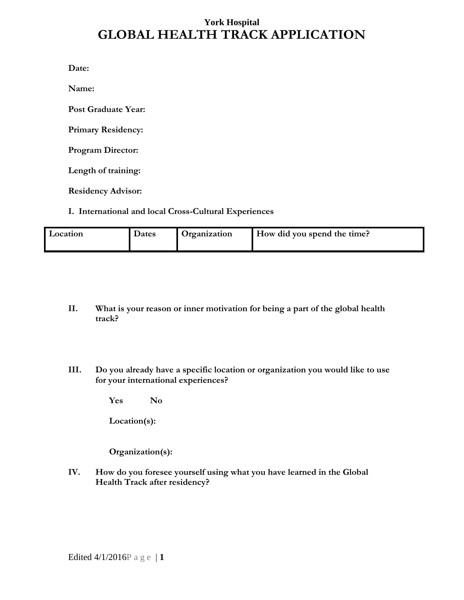# **York Hospital GLOBAL HEALTH TRACK APPLICATION**

**Date:** 

**Name:**

**Post Graduate Year:**

**Primary Residency:**

**Program Director:**

**Length of training:**

**Residency Advisor:**

#### **I. International and local Cross-Cultural Experiences**

| Location | Dates | Organization | How did you spend the time? |
|----------|-------|--------------|-----------------------------|
|----------|-------|--------------|-----------------------------|

- **II. What is your reason or inner motivation for being a part of the global health track?**
- **III. Do you already have a specific location or organization you would like to use for your international experiences?**

**Yes No**

**Location(s):** 

**Organization(s):**

**IV. How do you foresee yourself using what you have learned in the Global Health Track after residency?**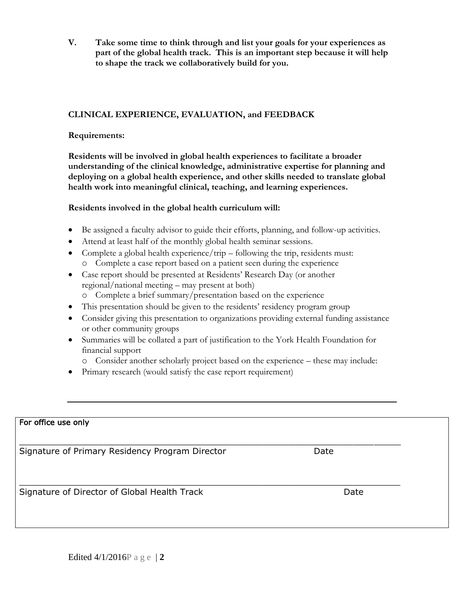**V. Take some time to think through and list your goals for your experiences as part of the global health track. This is an important step because it will help to shape the track we collaboratively build for you.** 

## **CLINICAL EXPERIENCE, EVALUATION, and FEEDBACK**

### **Requirements:**

**Residents will be involved in global health experiences to facilitate a broader understanding of the clinical knowledge, administrative expertise for planning and deploying on a global health experience, and other skills needed to translate global health work into meaningful clinical, teaching, and learning experiences.**

## **Residents involved in the global health curriculum will:**

- Be assigned a faculty advisor to guide their efforts, planning, and follow-up activities.
- Attend at least half of the monthly global health seminar sessions.
- Complete a global health experience/trip following the trip, residents must:
	- o Complete a case report based on a patient seen during the experience
- Case report should be presented at Residents' Research Day (or another regional/national meeting – may present at both)
	- o Complete a brief summary/presentation based on the experience
- This presentation should be given to the residents' residency program group
- Consider giving this presentation to organizations providing external funding assistance or other community groups
- Summaries will be collated a part of justification to the York Health Foundation for financial support
	- o Consider another scholarly project based on the experience these may include:
- Primary research (would satisfy the case report requirement)

| For office use only                             |      |
|-------------------------------------------------|------|
| Signature of Primary Residency Program Director | Date |
| Signature of Director of Global Health Track    | Date |
|                                                 |      |